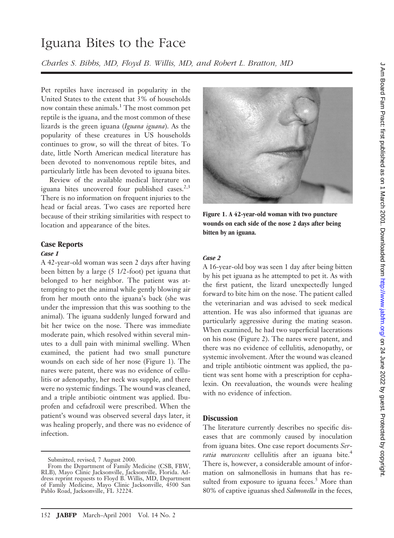# Iguana Bites to the Face

*Charles S. Bibbs, MD, Floyd B. Willis, MD, and Robert L. Bratton, MD*

Pet reptiles have increased in popularity in the United States to the extent that 3% of households now contain these animals.<sup>1</sup> The most common pet reptile is the iguana, and the most common of these lizards is the green iguana (*Iguana iguana*). As the popularity of these creatures in US households continues to grow, so will the threat of bites. To date, little North American medical literature has been devoted to nonvenomous reptile bites, and particularly little has been devoted to iguana bites.

Review of the available medical literature on iguana bites uncovered four published cases.<sup>2,3</sup> There is no information on frequent injuries to the head or facial areas. Two cases are reported here because of their striking similarities with respect to location and appearance of the bites.

# **Case Reports**

### *Case 1*

A 42-year-old woman was seen 2 days after having been bitten by a large (5 1/2-foot) pet iguana that belonged to her neighbor. The patient was attempting to pet the animal while gently blowing air from her mouth onto the iguana's back (she was under the impression that this was soothing to the animal). The iguana suddenly lunged forward and bit her twice on the nose. There was immediate moderate pain, which resolved within several minutes to a dull pain with minimal swelling. When examined, the patient had two small puncture wounds on each side of her nose (Figure 1). The nares were patent, there was no evidence of cellulitis or adenopathy, her neck was supple, and there were no systemic findings. The wound was cleaned, and a triple antibiotic ointment was applied. Ibuprofen and cefadroxil were prescribed. When the patient's wound was observed several days later, it was healing properly, and there was no evidence of infection.



**Figure 1. A 42-year-old woman with two puncture wounds on each side of the nose 2 days after being bitten by an iguana.**

#### *Case 2*

A 16-year-old boy was seen 1 day after being bitten by his pet iguana as he attempted to pet it. As with the first patient, the lizard unexpectedly lunged forward to bite him on the nose. The patient called the veterinarian and was advised to seek medical attention. He was also informed that iguanas are particularly aggressive during the mating season. When examined, he had two superficial lacerations on his nose (Figure 2). The nares were patent, and there was no evidence of cellulitis, adenopathy, or systemic involvement. After the wound was cleaned and triple antibiotic ointment was applied, the patient was sent home with a prescription for cephalexin. On reevaluation, the wounds were healing with no evidence of infection.

## **Discussion**

The literature currently describes no specific diseases that are commonly caused by inoculation from iguana bites. One case report documents *Ser*ratia marcescens cellulitis after an iguana bite.<sup>4</sup> There is, however, a considerable amount of information on salmonellosis in humans that has resulted from exposure to iguana feces. $5$  More than 80% of captive iguanas shed *Salmonella* in the feces,

Submitted, revised, 7 August 2000.

From the Department of Family Medicine (CSB, FBW, RLB), Mayo Clinic Jacksonville, Jacksonville, Florida. Address reprint requests to Floyd B. Willis, MD, Department of Family Medicine, Mayo Clinic Jacksonville, 4500 San Pablo Road, Jacksonville, FL 32224.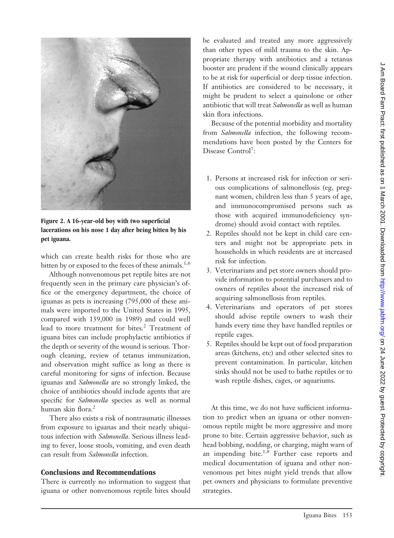

**Figure 2. A 16-year-old boy with two superficial lacerations on his nose 1 day after being bitten by his pet iguana.**

which can create health risks for those who are bitten by or exposed to the feces of these animals.<sup>1,6</sup>

Although nonvenomous pet reptile bites are not frequently seen in the primary care physician's office or the emergency department, the choice of iguanas as pets is increasing (795,000 of these animals were imported to the United States in 1995, compared with 139,000 in 1989) and could well lead to more treatment for bites.<sup>2</sup> Treatment of iguana bites can include prophylactic antibiotics if the depth or severity of the wound is serious. Thorough cleaning, review of tetanus immunization, and observation might suffice as long as there is careful monitoring for signs of infection. Because iguanas and *Salmonella* are so strongly linked, the choice of antibiotics should include agents that are specific for *Salmonella* species as well as normal human skin flora.<sup>2</sup>

There also exists a risk of nontraumatic illnesses from exposure to iguanas and their nearly ubiquitous infection with *Salmonella*. Serious illness leading to fever, loose stools, vomiting, and even death can result from *Salmonella* infection.

# **Conclusions and Recommendations**

There is currently no information to suggest that iguana or other nonvenomous reptile bites should

be evaluated and treated any more aggressively than other types of mild trauma to the skin. Appropriate therapy with antibiotics and a tetanus booster are prudent if the wound clinically appears to be at risk for superficial or deep tissue infection. If antibiotics are considered to be necessary, it might be prudent to select a quinolone or other antibiotic that will treat *Salmonella* as well as human skin flora infections.

Because of the potential morbidity and mortality from *Salmonella* infection, the following recommendations have been posted by the Centers for Disease Control<sup>7</sup>:

- 1. Persons at increased risk for infection or serious complications of salmonellosis (eg, pregnant women, children less than 5 years of age, and immunocompromised persons such as those with acquired immunodeficiency syndrome) should avoid contact with reptiles.
- 2. Reptiles should not be kept in child care centers and might not be appropriate pets in households in which residents are at increased risk for infection.
- 3. Veterinarians and pet store owners should provide information to potential purchasers and to owners of reptiles about the increased risk of acquiring salmonellosis from reptiles.
- 4. Veterinarians and operators of pet stores should advise reptile owners to wash their hands every time they have handled reptiles or reptile cages.
- 5. Reptiles should be kept out of food preparation areas (kitchens, etc) and other selected sites to prevent contamination. In particular, kitchen sinks should not be used to bathe reptiles or to wash reptile dishes, cages, or aquariums.

At this time, we do not have sufficient information to predict when an iguana or other nonvenomous reptile might be more aggressive and more prone to bite. Certain aggressive behavior, such as head bobbing, nodding, or charging, might warn of an impending bite. $1,8$  Further case reports and medical documentation of iguana and other nonvenomous pet bites might yield trends that allow pet owners and physicians to formulate preventive strategies.